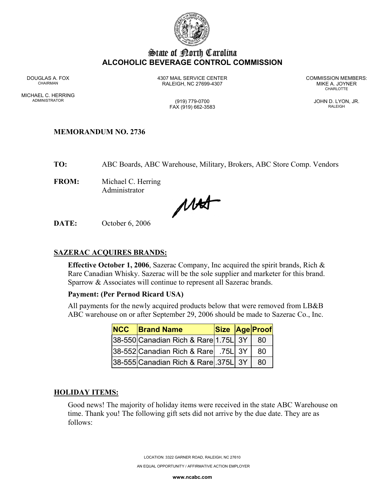

# State of Borth Carolina **ALCOHOLIC BEVERAGE CONTROL COMMISSION**

MICHAEL C. HERRING ADMINISTRATOR (919) 779-0700 JOHN D. LYON, JR.

DOUGLAS A. FOX 4307 MAIL SERVICE CENTER COMMISSION MEMBERS: CHAIRMAN RALEIGH, NC 27699-4307 MIKE A. JOYNER

**CHARLOTTE** 

FAX (919) 662-3583 RALEIGH

## **MEMORANDUM NO. 2736**

**TO:** ABC Boards, ABC Warehouse, Military, Brokers, ABC Store Comp. Vendors

**FROM:** Michael C. Herring Administrator

MAT

**DATE:** October 6, 2006

#### **SAZERAC ACQUIRES BRANDS:**

**Effective October 1, 2006**, Sazerac Company, Inc acquired the spirit brands, Rich & Rare Canadian Whisky. Sazerac will be the sole supplier and marketer for this brand. Sparrow & Associates will continue to represent all Sazerac brands.

## **Payment: (Per Pernod Ricard USA)**

All payments for the newly acquired products below that were removed from LB&B ABC warehouse on or after September 29, 2006 should be made to Sazerac Co., Inc.

| <b>NCC Brand Name</b>                |  | Size Age Proof |
|--------------------------------------|--|----------------|
| 38-550 Canadian Rich & Rare 1.75L 3Y |  | -80            |
| 38-552 Canadian Rich & Rare 75L 3Y   |  | 80             |
| 38-555 Canadian Rich & Rare 375L 3Y  |  | -80            |

#### **HOLIDAY ITEMS:**

Good news! The majority of holiday items were received in the state ABC Warehouse on time. Thank you! The following gift sets did not arrive by the due date. They are as follows:

LOCATION: 3322 GARNER ROAD, RALEIGH, NC 27610

AN EQUAL OPPORTUNITY / AFFIRMATIVE ACTION EMPLOYER